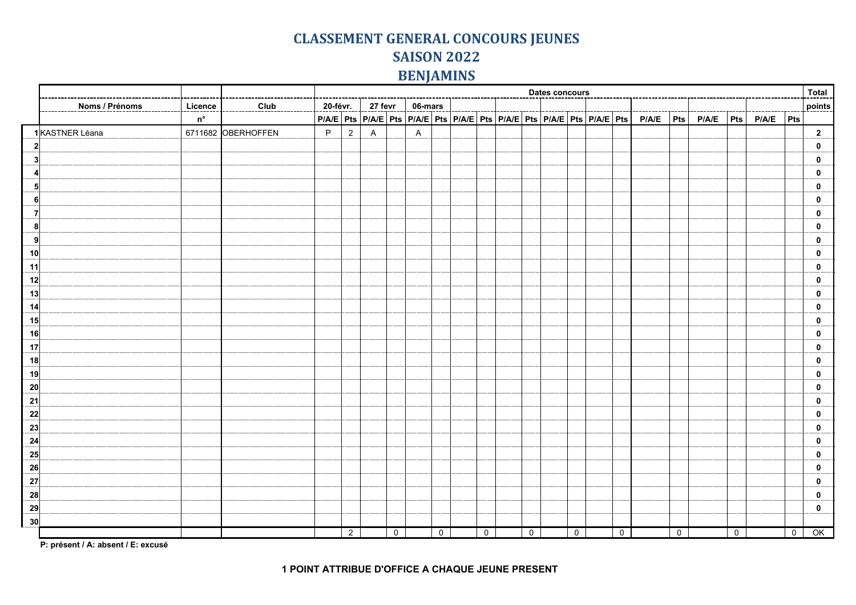## **CLASSEMENT GENERAL CONCOURS JEUNES SAISON 2022 BENJAMINS**

|                 |                |             |                    | <b>Dates concours</b> |                     |              |             |                |                |  |              |  |             |  |             |  |             |                                                                                   | Total |               |                |             |                |                         |
|-----------------|----------------|-------------|--------------------|-----------------------|---------------------|--------------|-------------|----------------|----------------|--|--------------|--|-------------|--|-------------|--|-------------|-----------------------------------------------------------------------------------|-------|---------------|----------------|-------------|----------------|-------------------------|
|                 | Noms / Prénoms | Licence     | Club               |                       | 20-févr.<br>27 fevr |              |             | 06-mars        |                |  |              |  |             |  |             |  |             |                                                                                   |       |               |                |             |                | points                  |
|                 |                | $n^{\circ}$ |                    |                       |                     |              |             |                |                |  |              |  |             |  |             |  |             | PIAIE Pts PIAIE Pts PIAIE PIAIE PIS PIAIE Pts PIAIE Pts PIAIE PIS PIAIE PIS PIAIE | Pts   | $P/A/E$   Pts |                | $P/A/E$ Pts |                |                         |
|                 | 1KASTNER Léana |             | 6711682 OBERHOFFEN | P                     | $\overline{2}$      | $\mathsf{A}$ |             | $\overline{A}$ |                |  |              |  |             |  |             |  |             |                                                                                   |       |               |                |             |                | $\overline{\mathbf{2}}$ |
| $\mathbf{2}$    |                |             |                    |                       |                     |              |             |                |                |  |              |  |             |  |             |  |             |                                                                                   |       |               |                |             |                | $\mathbf 0$             |
| 3               |                |             |                    |                       |                     |              |             |                |                |  |              |  |             |  |             |  |             |                                                                                   |       |               |                |             |                | $\mathbf{0}$            |
|                 |                |             |                    |                       |                     |              |             |                |                |  |              |  |             |  |             |  |             |                                                                                   |       |               |                |             |                | $\mathbf{0}$            |
| 51              |                |             |                    |                       |                     |              |             |                |                |  |              |  |             |  |             |  |             |                                                                                   |       |               |                |             |                | $\mathbf 0$             |
| 6               |                |             |                    |                       |                     |              |             |                |                |  |              |  |             |  |             |  |             |                                                                                   |       |               |                |             |                | $\mathbf 0$             |
| 7               |                |             |                    |                       |                     |              |             |                |                |  |              |  |             |  |             |  |             |                                                                                   |       |               |                |             |                | $\mathbf 0$             |
| 8 <sup>2</sup>  |                |             |                    |                       |                     |              |             |                |                |  |              |  |             |  |             |  |             |                                                                                   |       |               |                |             |                | $\mathbf 0$             |
| 9               |                |             |                    |                       |                     |              |             |                |                |  |              |  |             |  |             |  |             |                                                                                   |       |               |                |             |                | $\mathbf{0}$            |
| 10              |                |             |                    |                       |                     |              |             |                |                |  |              |  |             |  |             |  |             |                                                                                   |       |               |                |             |                | $\mathbf{0}$            |
| 11              |                |             |                    |                       |                     |              |             |                |                |  |              |  |             |  |             |  |             |                                                                                   |       |               |                |             |                | $\mathbf 0$             |
| 12              |                |             |                    |                       |                     |              |             |                |                |  |              |  |             |  |             |  |             |                                                                                   |       |               |                |             |                | $\mathbf 0$             |
| 13              |                |             |                    |                       |                     |              |             |                |                |  |              |  |             |  |             |  |             |                                                                                   |       |               |                |             |                | 0                       |
| 14              |                |             |                    |                       |                     |              |             |                |                |  |              |  |             |  |             |  |             |                                                                                   |       |               |                |             |                | $\mathbf 0$             |
| 15              |                |             |                    |                       |                     |              |             |                |                |  |              |  |             |  |             |  |             |                                                                                   |       |               |                |             |                | $\mathbf 0$             |
| 16              |                |             |                    |                       |                     |              |             |                |                |  |              |  |             |  |             |  |             |                                                                                   |       |               |                |             |                | $\mathbf 0$             |
| 17              |                |             |                    |                       |                     |              |             |                |                |  |              |  |             |  |             |  |             |                                                                                   |       |               |                |             |                | $\mathbf 0$             |
| 18              |                |             |                    |                       |                     |              |             |                |                |  |              |  |             |  |             |  |             |                                                                                   |       |               |                |             |                | $\mathbf 0$             |
| 19              |                |             |                    |                       |                     |              |             |                |                |  |              |  |             |  |             |  |             |                                                                                   |       |               |                |             |                | $\mathbf 0$             |
| 20              |                |             |                    |                       |                     |              |             |                |                |  |              |  |             |  |             |  |             |                                                                                   |       |               |                |             |                | $\mathbf 0$             |
| 21              |                |             |                    |                       |                     |              |             |                |                |  |              |  |             |  |             |  |             |                                                                                   |       |               |                |             |                | $\mathbf 0$             |
| 22              |                |             |                    |                       |                     |              |             |                |                |  |              |  |             |  |             |  |             |                                                                                   |       |               |                |             |                | $\mathbf{0}$            |
| 23              |                |             |                    |                       |                     |              |             |                |                |  |              |  |             |  |             |  |             |                                                                                   |       |               |                |             |                | 0                       |
| 24              |                |             |                    |                       |                     |              |             |                |                |  |              |  |             |  |             |  |             |                                                                                   |       |               |                |             |                | $\mathbf 0$             |
| 25              |                |             |                    |                       |                     |              |             |                |                |  |              |  |             |  |             |  |             |                                                                                   |       |               |                |             |                | $\mathbf 0$             |
|                 |                |             |                    |                       |                     |              |             |                |                |  |              |  |             |  |             |  |             |                                                                                   |       |               |                |             |                |                         |
| 26              |                |             |                    |                       |                     |              |             |                |                |  |              |  |             |  |             |  |             |                                                                                   |       |               |                |             |                | $\mathbf 0$             |
| 27              |                |             |                    |                       |                     |              |             |                |                |  |              |  |             |  |             |  |             |                                                                                   |       |               |                |             |                | $\mathbf 0$             |
| 28              |                |             |                    |                       |                     |              |             |                |                |  |              |  |             |  |             |  |             |                                                                                   |       |               |                |             |                | $\mathbf 0$             |
| 29              |                |             |                    |                       |                     |              |             |                |                |  |              |  |             |  |             |  |             |                                                                                   |       |               |                |             |                | $\mathbf 0$             |
| 30 <sup>l</sup> |                |             |                    |                       | $\overline{2}$      |              |             |                |                |  |              |  |             |  |             |  | $\mathbf 0$ |                                                                                   |       |               | $\overline{0}$ |             |                | OK                      |
|                 |                |             |                    |                       |                     |              | $\mathbf 0$ |                | $\overline{0}$ |  | $\mathsf{O}$ |  | $\mathbf 0$ |  | $\mathbf 0$ |  |             |                                                                                   | 0     |               |                |             | $\overline{0}$ |                         |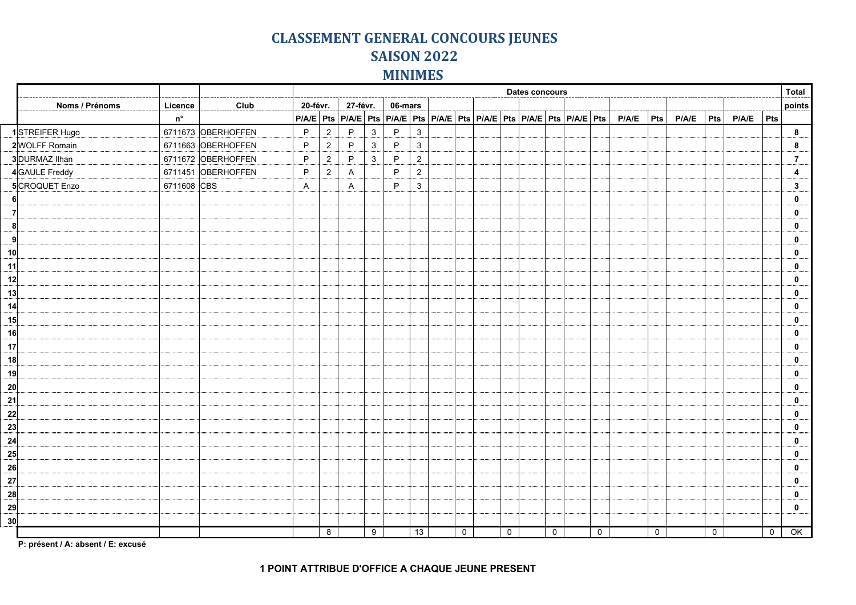## **CLASSEMENT GENERAL CONCOURS JEUNES SAISON 2022 MINIMES**

| Club<br>20-févr.<br>27-févr.<br>06-mars<br>Noms / Prénoms<br>Licence<br>PIA/E Pts PIA/E Pts PIA/E PIA/E Pts PIA/E Pts PIA/E Pts PIA/E PIS PIA/E PIS PIA/E PIA/E<br>$P/A/E$ Pts<br>${\sf n}^{\sf o}$<br>P/A/E<br>$ $ Pts $ $<br>1STREIFER Hugo<br>6711673 OBERHOFFEN<br>P<br>P<br>$\mathbf{3}$<br>P<br>3<br>$\overline{2}$<br>6711663 OBERHOFFEN<br>2WOLFF Romain<br>$\overline{2}$<br>P<br>$\mathbf{3}$<br>P<br>3<br>P<br>3 DURMAZ Ilhan<br>6711672 OBERHOFFEN<br>P<br>P<br>P<br>$\sqrt{2}$<br>$\overline{2}$<br>3<br>4GAULE Freddy<br>6711451 OBERHOFFEN<br>P<br>$2^{\circ}$<br>P<br>$\sqrt{2}$<br>$\mathsf{A}$<br>$\mathbf{3}$<br>6711608 CBS<br>P<br>5CROQUET Enzo<br>$\mathsf{A}$<br>$\mathsf{A}$<br>-6<br>$\vert$<br>8<br>9<br>10<br>11<br>13<br>14<br>$\overline{20}$<br>21<br>$\overline{24}$<br>27<br>28<br>29<br>30 |  |  | <b>Dates concours</b> |   |  |   |  |    |  |             |  |             |  |             |  | Total       |  |             |  |                     |             |                 |
|------------------------------------------------------------------------------------------------------------------------------------------------------------------------------------------------------------------------------------------------------------------------------------------------------------------------------------------------------------------------------------------------------------------------------------------------------------------------------------------------------------------------------------------------------------------------------------------------------------------------------------------------------------------------------------------------------------------------------------------------------------------------------------------------------------------------------|--|--|-----------------------|---|--|---|--|----|--|-------------|--|-------------|--|-------------|--|-------------|--|-------------|--|---------------------|-------------|-----------------|
|                                                                                                                                                                                                                                                                                                                                                                                                                                                                                                                                                                                                                                                                                                                                                                                                                              |  |  |                       |   |  |   |  |    |  |             |  |             |  |             |  |             |  |             |  |                     |             | points          |
|                                                                                                                                                                                                                                                                                                                                                                                                                                                                                                                                                                                                                                                                                                                                                                                                                              |  |  |                       |   |  |   |  |    |  |             |  |             |  |             |  |             |  |             |  |                     |             |                 |
|                                                                                                                                                                                                                                                                                                                                                                                                                                                                                                                                                                                                                                                                                                                                                                                                                              |  |  |                       |   |  |   |  |    |  |             |  |             |  |             |  |             |  |             |  |                     |             | $\bf{8}$        |
| 12<br>15<br>16<br>17<br>18<br>19<br>$\frac{22}{ }$<br>$\overline{\mathbf{23}}$<br>25<br>$\overline{26}$                                                                                                                                                                                                                                                                                                                                                                                                                                                                                                                                                                                                                                                                                                                      |  |  |                       |   |  |   |  |    |  |             |  |             |  |             |  |             |  |             |  |                     |             | 8               |
|                                                                                                                                                                                                                                                                                                                                                                                                                                                                                                                                                                                                                                                                                                                                                                                                                              |  |  |                       |   |  |   |  |    |  |             |  |             |  |             |  |             |  |             |  |                     |             | 7               |
|                                                                                                                                                                                                                                                                                                                                                                                                                                                                                                                                                                                                                                                                                                                                                                                                                              |  |  |                       |   |  |   |  |    |  |             |  |             |  |             |  |             |  |             |  |                     |             | 4               |
|                                                                                                                                                                                                                                                                                                                                                                                                                                                                                                                                                                                                                                                                                                                                                                                                                              |  |  |                       |   |  |   |  |    |  |             |  |             |  |             |  |             |  |             |  |                     |             | 3               |
|                                                                                                                                                                                                                                                                                                                                                                                                                                                                                                                                                                                                                                                                                                                                                                                                                              |  |  |                       |   |  |   |  |    |  |             |  |             |  |             |  |             |  |             |  |                     |             | $\mathbf 0$     |
|                                                                                                                                                                                                                                                                                                                                                                                                                                                                                                                                                                                                                                                                                                                                                                                                                              |  |  |                       |   |  |   |  |    |  |             |  |             |  |             |  |             |  |             |  |                     |             | 0               |
|                                                                                                                                                                                                                                                                                                                                                                                                                                                                                                                                                                                                                                                                                                                                                                                                                              |  |  |                       |   |  |   |  |    |  |             |  |             |  |             |  |             |  |             |  |                     |             | 0               |
|                                                                                                                                                                                                                                                                                                                                                                                                                                                                                                                                                                                                                                                                                                                                                                                                                              |  |  |                       |   |  |   |  |    |  |             |  |             |  |             |  |             |  |             |  |                     |             | 0               |
|                                                                                                                                                                                                                                                                                                                                                                                                                                                                                                                                                                                                                                                                                                                                                                                                                              |  |  |                       |   |  |   |  |    |  |             |  |             |  |             |  |             |  |             |  |                     |             | $\mathbf{0}$    |
|                                                                                                                                                                                                                                                                                                                                                                                                                                                                                                                                                                                                                                                                                                                                                                                                                              |  |  |                       |   |  |   |  |    |  |             |  |             |  |             |  |             |  |             |  |                     |             | 0               |
|                                                                                                                                                                                                                                                                                                                                                                                                                                                                                                                                                                                                                                                                                                                                                                                                                              |  |  |                       |   |  |   |  |    |  |             |  |             |  |             |  |             |  |             |  |                     |             | 0               |
|                                                                                                                                                                                                                                                                                                                                                                                                                                                                                                                                                                                                                                                                                                                                                                                                                              |  |  |                       |   |  |   |  |    |  |             |  |             |  |             |  |             |  |             |  |                     |             | 0               |
|                                                                                                                                                                                                                                                                                                                                                                                                                                                                                                                                                                                                                                                                                                                                                                                                                              |  |  |                       |   |  |   |  |    |  |             |  |             |  |             |  |             |  |             |  |                     |             | $\mathbf{0}$    |
|                                                                                                                                                                                                                                                                                                                                                                                                                                                                                                                                                                                                                                                                                                                                                                                                                              |  |  |                       |   |  |   |  |    |  |             |  |             |  |             |  |             |  |             |  |                     |             | $\mathbf{0}$    |
|                                                                                                                                                                                                                                                                                                                                                                                                                                                                                                                                                                                                                                                                                                                                                                                                                              |  |  |                       |   |  |   |  |    |  |             |  |             |  |             |  |             |  |             |  |                     |             | $\mathbf 0$     |
|                                                                                                                                                                                                                                                                                                                                                                                                                                                                                                                                                                                                                                                                                                                                                                                                                              |  |  |                       |   |  |   |  |    |  |             |  |             |  |             |  |             |  |             |  |                     |             | 0               |
|                                                                                                                                                                                                                                                                                                                                                                                                                                                                                                                                                                                                                                                                                                                                                                                                                              |  |  |                       |   |  |   |  |    |  |             |  |             |  |             |  |             |  |             |  |                     |             | 0               |
|                                                                                                                                                                                                                                                                                                                                                                                                                                                                                                                                                                                                                                                                                                                                                                                                                              |  |  |                       |   |  |   |  |    |  |             |  |             |  |             |  |             |  |             |  |                     |             | $\mathbf{0}$    |
|                                                                                                                                                                                                                                                                                                                                                                                                                                                                                                                                                                                                                                                                                                                                                                                                                              |  |  |                       |   |  |   |  |    |  |             |  |             |  |             |  |             |  |             |  |                     |             | $\mathbf{0}$    |
|                                                                                                                                                                                                                                                                                                                                                                                                                                                                                                                                                                                                                                                                                                                                                                                                                              |  |  |                       |   |  |   |  |    |  |             |  |             |  |             |  |             |  |             |  |                     |             | $\mathbf{0}$    |
|                                                                                                                                                                                                                                                                                                                                                                                                                                                                                                                                                                                                                                                                                                                                                                                                                              |  |  |                       |   |  |   |  |    |  |             |  |             |  |             |  |             |  |             |  |                     |             | 0               |
|                                                                                                                                                                                                                                                                                                                                                                                                                                                                                                                                                                                                                                                                                                                                                                                                                              |  |  |                       |   |  |   |  |    |  |             |  |             |  |             |  |             |  |             |  |                     |             | 0               |
|                                                                                                                                                                                                                                                                                                                                                                                                                                                                                                                                                                                                                                                                                                                                                                                                                              |  |  |                       |   |  |   |  |    |  |             |  |             |  |             |  |             |  |             |  |                     |             | $\mathbf{0}$    |
|                                                                                                                                                                                                                                                                                                                                                                                                                                                                                                                                                                                                                                                                                                                                                                                                                              |  |  |                       |   |  |   |  |    |  |             |  |             |  |             |  |             |  |             |  |                     |             | $\mathbf{0}$    |
|                                                                                                                                                                                                                                                                                                                                                                                                                                                                                                                                                                                                                                                                                                                                                                                                                              |  |  |                       |   |  |   |  |    |  |             |  |             |  |             |  |             |  |             |  |                     |             | 0               |
|                                                                                                                                                                                                                                                                                                                                                                                                                                                                                                                                                                                                                                                                                                                                                                                                                              |  |  |                       |   |  |   |  |    |  |             |  |             |  |             |  |             |  |             |  |                     |             | 0               |
|                                                                                                                                                                                                                                                                                                                                                                                                                                                                                                                                                                                                                                                                                                                                                                                                                              |  |  |                       |   |  |   |  |    |  |             |  |             |  |             |  |             |  |             |  |                     |             | 0               |
|                                                                                                                                                                                                                                                                                                                                                                                                                                                                                                                                                                                                                                                                                                                                                                                                                              |  |  |                       |   |  |   |  |    |  |             |  |             |  |             |  |             |  |             |  |                     |             | $\mathbf{0}$    |
|                                                                                                                                                                                                                                                                                                                                                                                                                                                                                                                                                                                                                                                                                                                                                                                                                              |  |  |                       |   |  |   |  |    |  |             |  |             |  |             |  |             |  |             |  |                     |             |                 |
|                                                                                                                                                                                                                                                                                                                                                                                                                                                                                                                                                                                                                                                                                                                                                                                                                              |  |  |                       | 8 |  | 9 |  | 13 |  | $\mathbf 0$ |  | $\mathbf 0$ |  | $\mathbf 0$ |  | $\mathbf 0$ |  | $\mathsf 0$ |  | $\mathsf{O}\xspace$ | $\mathbf 0$ | $\overline{OK}$ |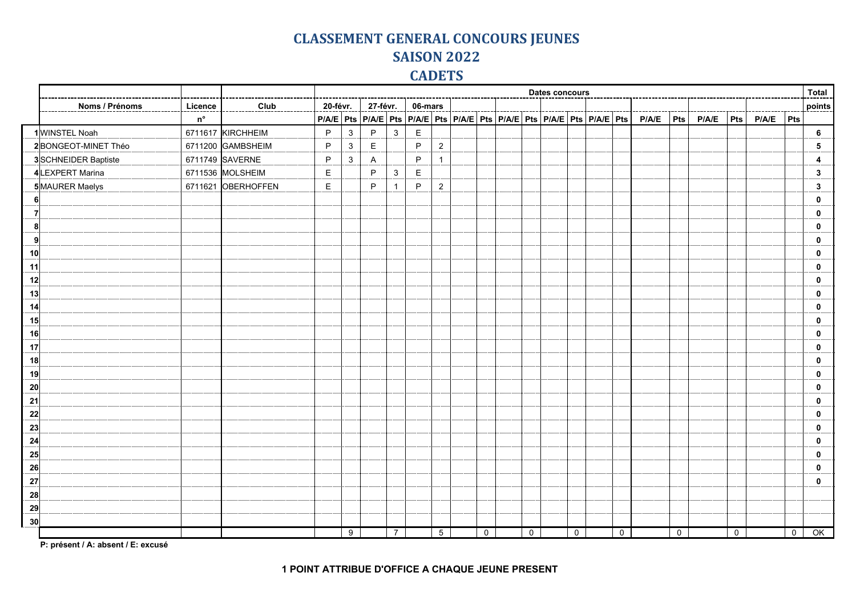## **CLASSEMENT GENERAL CONCOURS JEUNES SAISON 2022 CADETS**

|                 |                     |                   |                    | <b>Dates concours</b> |              |                                                                                                                                                                                                                                                                                                                                                                                                                                                                                       |                |             |                 |  |             |  |                |  |              |  |             | <b>Total</b> |     |               |             |             |                |                 |
|-----------------|---------------------|-------------------|--------------------|-----------------------|--------------|---------------------------------------------------------------------------------------------------------------------------------------------------------------------------------------------------------------------------------------------------------------------------------------------------------------------------------------------------------------------------------------------------------------------------------------------------------------------------------------|----------------|-------------|-----------------|--|-------------|--|----------------|--|--------------|--|-------------|--------------|-----|---------------|-------------|-------------|----------------|-----------------|
|                 | Noms / Prénoms      | Licence           | Club               | 20-févr.              |              | 27-févr.                                                                                                                                                                                                                                                                                                                                                                                                                                                                              |                | 06-mars     |                 |  |             |  |                |  |              |  |             |              |     |               |             |             |                | points          |
|                 |                     | ${\sf n}^{\sf o}$ |                    |                       |              | $\big \,\mathsf{PIA/E}\,\big \,\mathsf{Pts}\,\big \,\mathsf{PIA/E}\,\big \,\mathsf{Pis}\,\big \,\mathsf{PIA/E}\,\big \,\mathsf{PIA/E}\,\big \,\mathsf{Pts}\,\big \,\mathsf{PIA/E}\,\big \,\mathsf{Pts}\,\big \,\mathsf{PIA/E}\,\big \,\mathsf{Pts}\,\big \,\mathsf{PIA/E}\,\big \,\mathsf{Pts}\,\big \,\mathsf{PIA/E}\,\big \,\mathsf{Pts}\,\big \,\mathsf{Pits}\,\big \,\mathsf{Pits}\,\big \,\mathsf{Pits}\,\big \,\mathsf{Pits}\,\big \,\mathsf{Pits}\,\big \,\mathsf{Pits}\,\big$ |                |             |                 |  |             |  |                |  |              |  |             | P/A/E        | Pts | $P/A/E$   Pts |             | $P/A/E$ Pts |                |                 |
|                 | 1WINSTEL Noah       |                   | 6711617 KIRCHHEIM  | P                     | $\mathbf{3}$ | P                                                                                                                                                                                                                                                                                                                                                                                                                                                                                     | 3              | $\mathsf E$ |                 |  |             |  |                |  |              |  |             |              |     |               |             |             |                | $6\phantom{.}6$ |
|                 | 2BONGEOT-MINET Théo |                   | 6711200 GAMBSHEIM  | P                     | $\mathbf{3}$ | E                                                                                                                                                                                                                                                                                                                                                                                                                                                                                     |                | P           | $\overline{c}$  |  |             |  |                |  |              |  |             |              |     |               |             |             |                | 5               |
|                 | 3SCHNEIDER Baptiste |                   | 6711749 SAVERNE    | P                     | $\mathbf{3}$ | A                                                                                                                                                                                                                                                                                                                                                                                                                                                                                     |                | P           | -1              |  |             |  |                |  |              |  |             |              |     |               |             |             |                | 4               |
|                 | 4LEXPERT Marina     |                   | 6711536 MOLSHEIM   | $\mathsf E$           |              | P                                                                                                                                                                                                                                                                                                                                                                                                                                                                                     | $\mathbf{3}$   | $\mathsf E$ |                 |  |             |  |                |  |              |  |             |              |     |               |             |             |                | 3               |
|                 | 5MAURER Maelys      |                   | 6711621 OBERHOFFEN | E                     |              | P                                                                                                                                                                                                                                                                                                                                                                                                                                                                                     | $\overline{1}$ | P           | $\overline{2}$  |  |             |  |                |  |              |  |             |              |     |               |             |             |                | 3               |
|                 |                     |                   |                    |                       |              |                                                                                                                                                                                                                                                                                                                                                                                                                                                                                       |                |             |                 |  |             |  |                |  |              |  |             |              |     |               |             |             |                | 0               |
| 7               |                     |                   |                    |                       |              |                                                                                                                                                                                                                                                                                                                                                                                                                                                                                       |                |             |                 |  |             |  |                |  |              |  |             |              |     |               |             |             |                | 0               |
| 8               |                     |                   |                    |                       |              |                                                                                                                                                                                                                                                                                                                                                                                                                                                                                       |                |             |                 |  |             |  |                |  |              |  |             |              |     |               |             |             |                | 0               |
| ا9              |                     |                   |                    |                       |              |                                                                                                                                                                                                                                                                                                                                                                                                                                                                                       |                |             |                 |  |             |  |                |  |              |  |             |              |     |               |             |             |                | $\bf{0}$        |
| 10              |                     |                   |                    |                       |              |                                                                                                                                                                                                                                                                                                                                                                                                                                                                                       |                |             |                 |  |             |  |                |  |              |  |             |              |     |               |             |             |                | $\bf{0}$        |
| 11              |                     |                   |                    |                       |              |                                                                                                                                                                                                                                                                                                                                                                                                                                                                                       |                |             |                 |  |             |  |                |  |              |  |             |              |     |               |             |             |                | 0               |
| 12              |                     |                   |                    |                       |              |                                                                                                                                                                                                                                                                                                                                                                                                                                                                                       |                |             |                 |  |             |  |                |  |              |  |             |              |     |               |             |             |                | 0               |
| 13              |                     |                   |                    |                       |              |                                                                                                                                                                                                                                                                                                                                                                                                                                                                                       |                |             |                 |  |             |  |                |  |              |  |             |              |     |               |             |             |                | 0               |
| 14              |                     |                   |                    |                       |              |                                                                                                                                                                                                                                                                                                                                                                                                                                                                                       |                |             |                 |  |             |  |                |  |              |  |             |              |     |               |             |             |                | 0               |
| 15              |                     |                   |                    |                       |              |                                                                                                                                                                                                                                                                                                                                                                                                                                                                                       |                |             |                 |  |             |  |                |  |              |  |             |              |     |               |             |             |                | $\mathbf{0}$    |
| 16              |                     |                   |                    |                       |              |                                                                                                                                                                                                                                                                                                                                                                                                                                                                                       |                |             |                 |  |             |  |                |  |              |  |             |              |     |               |             |             |                | $\mathbf{0}$    |
| 17              |                     |                   |                    |                       |              |                                                                                                                                                                                                                                                                                                                                                                                                                                                                                       |                |             |                 |  |             |  |                |  |              |  |             |              |     |               |             |             |                | 0               |
| 18              |                     |                   |                    |                       |              |                                                                                                                                                                                                                                                                                                                                                                                                                                                                                       |                |             |                 |  |             |  |                |  |              |  |             |              |     |               |             |             |                | 0               |
| 19              |                     |                   |                    |                       |              |                                                                                                                                                                                                                                                                                                                                                                                                                                                                                       |                |             |                 |  |             |  |                |  |              |  |             |              |     |               |             |             |                | 0               |
| 20 <sub>l</sub> |                     |                   |                    |                       |              |                                                                                                                                                                                                                                                                                                                                                                                                                                                                                       |                |             |                 |  |             |  |                |  |              |  |             |              |     |               |             |             |                | $\bf{0}$        |
| 21              |                     |                   |                    |                       |              |                                                                                                                                                                                                                                                                                                                                                                                                                                                                                       |                |             |                 |  |             |  |                |  |              |  |             |              |     |               |             |             |                | 0               |
| 22              |                     |                   |                    |                       |              |                                                                                                                                                                                                                                                                                                                                                                                                                                                                                       |                |             |                 |  |             |  |                |  |              |  |             |              |     |               |             |             |                | 0               |
| 23              |                     |                   |                    |                       |              |                                                                                                                                                                                                                                                                                                                                                                                                                                                                                       |                |             |                 |  |             |  |                |  |              |  |             |              |     |               |             |             |                | 0               |
| 24              |                     |                   |                    |                       |              |                                                                                                                                                                                                                                                                                                                                                                                                                                                                                       |                |             |                 |  |             |  |                |  |              |  |             |              |     |               |             |             |                | 0               |
| 25              |                     |                   |                    |                       |              |                                                                                                                                                                                                                                                                                                                                                                                                                                                                                       |                |             |                 |  |             |  |                |  |              |  |             |              |     |               |             |             |                | 0               |
| 26              |                     |                   |                    |                       |              |                                                                                                                                                                                                                                                                                                                                                                                                                                                                                       |                |             |                 |  |             |  |                |  |              |  |             |              |     |               |             |             |                | 0               |
| 27              |                     |                   |                    |                       |              |                                                                                                                                                                                                                                                                                                                                                                                                                                                                                       |                |             |                 |  |             |  |                |  |              |  |             |              |     |               |             |             |                | 0               |
| 28              |                     |                   |                    |                       |              |                                                                                                                                                                                                                                                                                                                                                                                                                                                                                       |                |             |                 |  |             |  |                |  |              |  |             |              |     |               |             |             |                |                 |
| 29              |                     |                   |                    |                       |              |                                                                                                                                                                                                                                                                                                                                                                                                                                                                                       |                |             |                 |  |             |  |                |  |              |  |             |              |     |               |             |             |                |                 |
| 30              |                     |                   |                    |                       |              |                                                                                                                                                                                                                                                                                                                                                                                                                                                                                       |                |             |                 |  |             |  |                |  |              |  |             |              |     |               |             |             |                |                 |
|                 |                     |                   |                    |                       | 9            |                                                                                                                                                                                                                                                                                                                                                                                                                                                                                       | $\overline{7}$ |             | $5\overline{)}$ |  | $\mathbf 0$ |  | $\overline{0}$ |  | $\mathbf{0}$ |  | $\mathbf 0$ |              | 0   |               | $\mathbf 0$ |             | $\overline{0}$ | OK              |
|                 |                     |                   |                    |                       |              |                                                                                                                                                                                                                                                                                                                                                                                                                                                                                       |                |             |                 |  |             |  |                |  |              |  |             |              |     |               |             |             |                |                 |